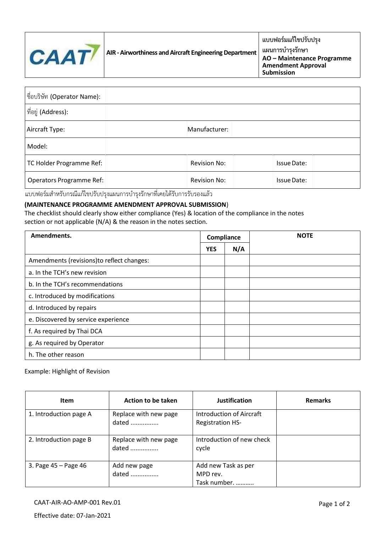

**แผนการบ ารุงรักษา AO – Maintenance Programme Amendment Approval Submission**

| ชื่อบริษัท (Operator Name):     |                     |                    |  |
|---------------------------------|---------------------|--------------------|--|
| ที่อยู่ (Address):              |                     |                    |  |
| Aircraft Type:                  | Manufacturer:       |                    |  |
| Model:                          |                     |                    |  |
| TC Holder Programme Ref:        | Revision No:        | Issue Date:        |  |
| <b>Operators Programme Ref:</b> | <b>Revision No:</b> | <b>Issue Date:</b> |  |

แบบฟอร์มสำหรับกรณีแก้ไขปรับปรุงแผนการบำรุงรักษาที่เคยได้รับการรับรองแล้ว

## **(MAINTENANCE PROGRAMME AMENDMENT APPROVAL SUBMISSION**)

The checklist should clearly show either compliance (Yes) & location of the compliance in the notes section or not applicable (N/A) & the reason in the notes section.

| Amendments.                                | Compliance |     | <b>NOTE</b> |  |
|--------------------------------------------|------------|-----|-------------|--|
|                                            | <b>YES</b> | N/A |             |  |
| Amendments (revisions) to reflect changes: |            |     |             |  |
| a. In the TCH's new revision               |            |     |             |  |
| b. In the TCH's recommendations            |            |     |             |  |
| c. Introduced by modifications             |            |     |             |  |
| d. Introduced by repairs                   |            |     |             |  |
| e. Discovered by service experience        |            |     |             |  |
| f. As required by Thai DCA                 |            |     |             |  |
| g. As required by Operator                 |            |     |             |  |
| h. The other reason                        |            |     |             |  |

## Example: Highlight of Revision

| <b>Item</b>            | Action to be taken             | <b>Justification</b>                                       | <b>Remarks</b> |
|------------------------|--------------------------------|------------------------------------------------------------|----------------|
| 1. Introduction page A | Replace with new page<br>dated | <b>Introduction of Aircraft</b><br><b>Registration HS-</b> |                |
| 2. Introduction page B | Replace with new page<br>dated | Introduction of new check<br>cycle                         |                |
| 3. Page 45 - Page 46   | Add new page<br>dated          | Add new Task as per<br>MPD rev.<br>Task number.            |                |